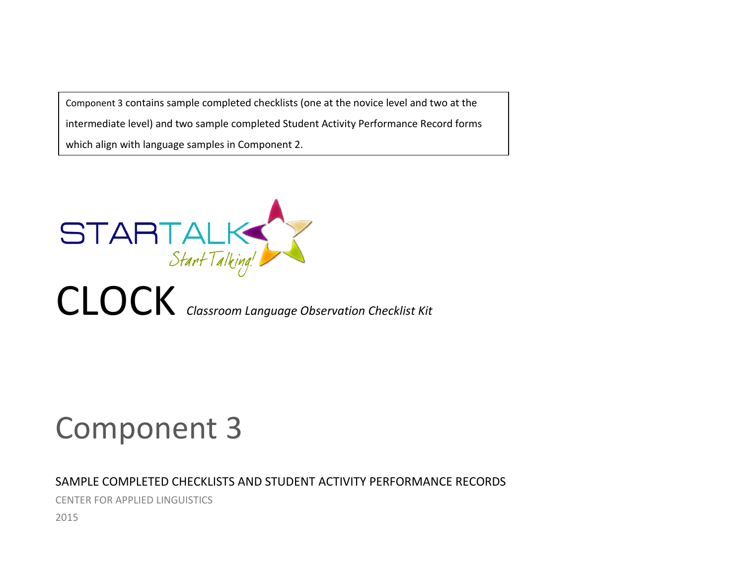Component 3 contains sample completed checklists (one at the novice level and two at the intermediate level) and two sample completed Student Activity Performance Record forms which align with language samples in Component 2.



# Component 3

## SAMPLE COMPLETED CHECKLISTS AND STUDENT ACTIVITY PERFORMANCE RECORDS

CENTER FOR APPLIED LINGUISTICS

2015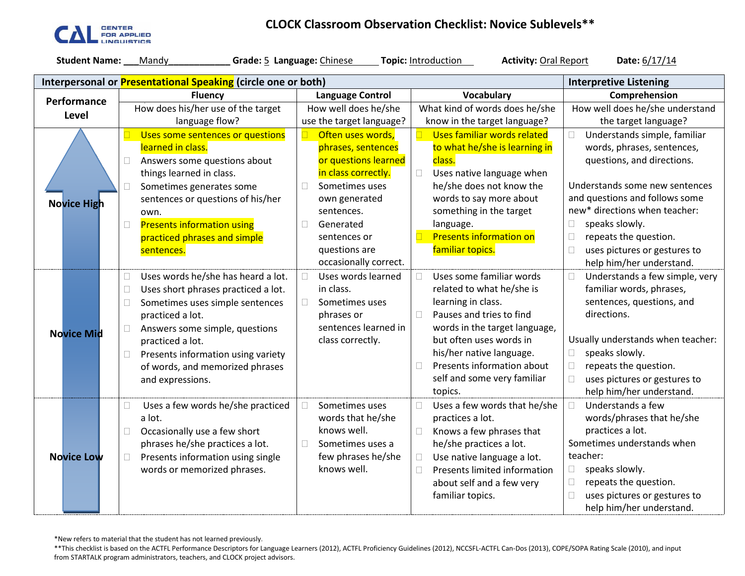

## **CLOCK Classroom Observation Checklist: Novice Sublevels\*\***

| <b>Student Name:</b> | Grade: 5 Language: Chinese<br>Mandy                                                                                                                                                                                                                                                                                                   |                                                                                                                                                                                       | Topic: Introduction<br><b>Activity: Oral Report</b>                                                                                                                                                                                                                     | Date: 6/17/14                                                                                                                                                                                                                                                                                                          |
|----------------------|---------------------------------------------------------------------------------------------------------------------------------------------------------------------------------------------------------------------------------------------------------------------------------------------------------------------------------------|---------------------------------------------------------------------------------------------------------------------------------------------------------------------------------------|-------------------------------------------------------------------------------------------------------------------------------------------------------------------------------------------------------------------------------------------------------------------------|------------------------------------------------------------------------------------------------------------------------------------------------------------------------------------------------------------------------------------------------------------------------------------------------------------------------|
|                      | Interpersonal or Presentational Speaking (circle one or both)                                                                                                                                                                                                                                                                         |                                                                                                                                                                                       |                                                                                                                                                                                                                                                                         | <b>Interpretive Listening</b>                                                                                                                                                                                                                                                                                          |
| Performance          | <b>Fluency</b>                                                                                                                                                                                                                                                                                                                        | <b>Language Control</b>                                                                                                                                                               | Vocabulary                                                                                                                                                                                                                                                              | Comprehension                                                                                                                                                                                                                                                                                                          |
|                      | How does his/her use of the target                                                                                                                                                                                                                                                                                                    | How well does he/she                                                                                                                                                                  | What kind of words does he/she                                                                                                                                                                                                                                          | How well does he/she understand                                                                                                                                                                                                                                                                                        |
| Level                | language flow?                                                                                                                                                                                                                                                                                                                        | use the target language?                                                                                                                                                              | know in the target language?                                                                                                                                                                                                                                            | the target language?                                                                                                                                                                                                                                                                                                   |
| <b>Novice High</b>   | Uses some sentences or questions<br>learned in class.<br>$\Box$<br>Answers some questions about<br>things learned in class.<br>Sometimes generates some<br>П<br>sentences or questions of his/her<br>own.<br><b>Presents information using</b><br>$\Box$<br>practiced phrases and simple<br>sentences.                                | Often uses words,<br>phrases, sentences<br>or questions learned<br>in class correctly.<br>Sometimes uses<br>own generated<br>sentences.<br>Generated<br>sentences or<br>questions are | Uses familiar words related<br>to what he/she is learning in<br>class.<br>$\Box$<br>Uses native language when<br>he/she does not know the<br>words to say more about<br>something in the target<br>language.<br><b>Presents information on</b><br>familiar topics.      | Understands simple, familiar<br>П.<br>words, phrases, sentences,<br>questions, and directions.<br>Understands some new sentences<br>and questions and follows some<br>new* directions when teacher:<br>speaks slowly.<br>$\Box$<br>$\Box$<br>repeats the question.<br>$\Box$<br>uses pictures or gestures to           |
| <b>Novice Mid</b>    | Uses words he/she has heard a lot.<br>$\Box$<br>Uses short phrases practiced a lot.<br>$\Box$<br>$\Box$<br>Sometimes uses simple sentences<br>practiced a lot.<br>Answers some simple, questions<br>$\Box$<br>practiced a lot.<br>Presents information using variety<br>$\Box$<br>of words, and memorized phrases<br>and expressions. | occasionally correct.<br>Uses words learned<br>П<br>in class.<br>Sometimes uses<br>phrases or<br>sentences learned in<br>class correctly.                                             | Uses some familiar words<br>related to what he/she is<br>learning in class.<br>Pauses and tries to find<br>words in the target language,<br>but often uses words in<br>his/her native language.<br>Presents information about<br>self and some very familiar<br>topics. | help him/her understand.<br>Understands a few simple, very<br>$\Box$<br>familiar words, phrases,<br>sentences, questions, and<br>directions.<br>Usually understands when teacher:<br>speaks slowly.<br>$\Box$<br>repeats the question.<br>$\Box$<br>$\Box$<br>uses pictures or gestures to<br>help him/her understand. |
| <b>Novice Low</b>    | Uses a few words he/she practiced<br>$\Box$<br>a lot.<br>Occasionally use a few short<br>$\Box$<br>phrases he/she practices a lot.<br>Presents information using single<br>$\Box$<br>words or memorized phrases.                                                                                                                      | Sometimes uses<br>П<br>words that he/she<br>knows well.<br>Sometimes uses a<br>few phrases he/she<br>knows well.                                                                      | Uses a few words that he/she<br>practices a lot.<br>$\Box$<br>Knows a few phrases that<br>he/she practices a lot.<br>Use native language a lot.<br>$\Box$<br>Presents limited information<br>$\Box$<br>about self and a few very<br>familiar topics.                    | Understands a few<br>$\Box$<br>words/phrases that he/she<br>practices a lot.<br>Sometimes understands when<br>teacher:<br>speaks slowly.<br>$\Box$<br>repeats the question.<br>$\Box$<br>uses pictures or gestures to<br>$\Box$<br>help him/her understand.                                                            |

\*New refers to material that the student has not learned previously.

\*\*This checklist is based on the ACTFL Performance Descriptors for Language Learners (2012), ACTFL Proficiency Guidelines (2012), NCCSFL-ACTFL Can-Dos (2013), COPE/SOPA Rating Scale (2010), and input from STARTALK program administrators, teachers, and CLOCK project advisors.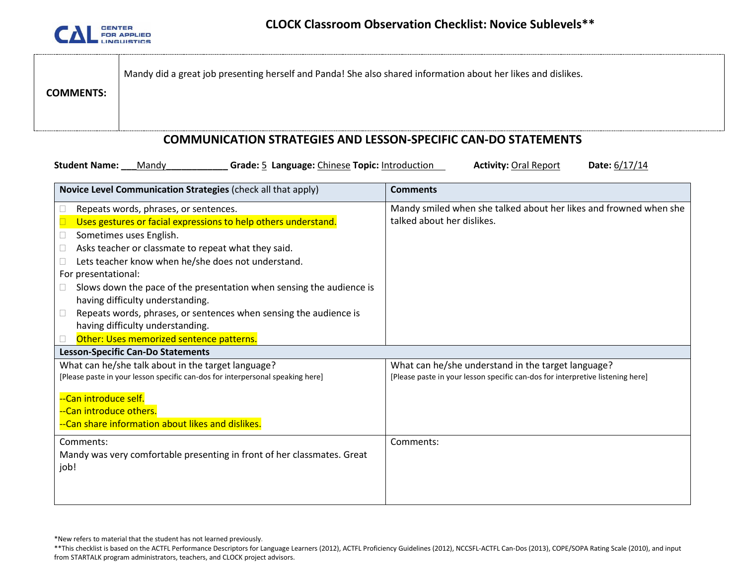

|                  | Mandy did a great job presenting herself and Panda! She also shared information about her likes and dislikes. |
|------------------|---------------------------------------------------------------------------------------------------------------|
| <b>COMMENTS:</b> |                                                                                                               |

#### **COMMUNICATION STRATEGIES AND LESSON-SPECIFIC CAN-DO STATEMENTS**

**Student Name: \_\_\_**Mandy**\_\_\_\_\_\_\_\_\_\_\_\_ Grade:** 5 **Language:** Chinese **Topic:** Introduction **Activity:** Oral Report **Date:** 6/17/14

| Novice Level Communication Strategies (check all that apply)                   | <b>Comments</b>                                                                |  |  |  |  |
|--------------------------------------------------------------------------------|--------------------------------------------------------------------------------|--|--|--|--|
| Repeats words, phrases, or sentences.                                          | Mandy smiled when she talked about her likes and frowned when she              |  |  |  |  |
| Uses gestures or facial expressions to help others understand.                 | talked about her dislikes.                                                     |  |  |  |  |
| Sometimes uses English.                                                        |                                                                                |  |  |  |  |
| Asks teacher or classmate to repeat what they said.                            |                                                                                |  |  |  |  |
| Lets teacher know when he/she does not understand.                             |                                                                                |  |  |  |  |
| For presentational:                                                            |                                                                                |  |  |  |  |
| Slows down the pace of the presentation when sensing the audience is           |                                                                                |  |  |  |  |
| having difficulty understanding.                                               |                                                                                |  |  |  |  |
| Repeats words, phrases, or sentences when sensing the audience is              |                                                                                |  |  |  |  |
| having difficulty understanding.                                               |                                                                                |  |  |  |  |
| Other: Uses memorized sentence patterns.                                       |                                                                                |  |  |  |  |
| <b>Lesson-Specific Can-Do Statements</b>                                       |                                                                                |  |  |  |  |
| What can he/she talk about in the target language?                             | What can he/she understand in the target language?                             |  |  |  |  |
| [Please paste in your lesson specific can-dos for interpersonal speaking here] | [Please paste in your lesson specific can-dos for interpretive listening here] |  |  |  |  |
| --Can introduce self.                                                          |                                                                                |  |  |  |  |
| --Can introduce others.                                                        |                                                                                |  |  |  |  |
| --Can share information about likes and dislikes.                              |                                                                                |  |  |  |  |
|                                                                                |                                                                                |  |  |  |  |
| Comments:                                                                      | Comments:                                                                      |  |  |  |  |
| Mandy was very comfortable presenting in front of her classmates. Great        |                                                                                |  |  |  |  |
| job!                                                                           |                                                                                |  |  |  |  |
|                                                                                |                                                                                |  |  |  |  |
|                                                                                |                                                                                |  |  |  |  |

\*New refers to material that the student has not learned previously.

<sup>\*\*</sup>This checklist is based on the ACTFL Performance Descriptors for Language Learners (2012), ACTFL Proficiency Guidelines (2012), NCCSFL-ACTFL Can-Dos (2013), COPE/SOPA Rating Scale (2010), and input from STARTALK program administrators, teachers, and CLOCK project advisors.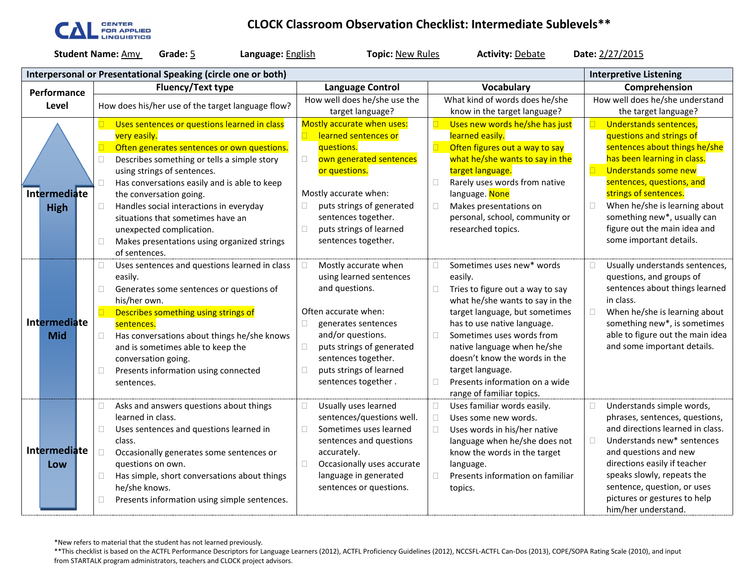

### **CLOCK Classroom Observation Checklist: Intermediate Sublevels\*\***

**Student Name:** <u>Amy</u> **Grade:** 5 **Language:** English **Topic:** New Rules **Activity:** Debate **Date:** 2/27/2015

| Interpersonal or Presentational Speaking (circle one or both) |              |  |                                                   |                                                          |                              |                                                 |   |                                  |               | <b>Interpretive Listening</b>                               |  |
|---------------------------------------------------------------|--------------|--|---------------------------------------------------|----------------------------------------------------------|------------------------------|-------------------------------------------------|---|----------------------------------|---------------|-------------------------------------------------------------|--|
|                                                               | Performance  |  | <b>Fluency/Text type</b>                          |                                                          |                              | <b>Language Control</b>                         |   | <b>Vocabulary</b>                | Comprehension |                                                             |  |
|                                                               | Level        |  | How does his/her use of the target language flow? |                                                          | How well does he/she use the |                                                 |   | What kind of words does he/she   |               | How well does he/she understand                             |  |
|                                                               |              |  |                                                   |                                                          |                              | target language?                                |   | know in the target language?     |               | the target language?                                        |  |
|                                                               |              |  |                                                   | Uses sentences or questions learned in class             |                              | Mostly accurate when uses:                      |   | Uses new words he/she has just   |               | Understands sentences,                                      |  |
|                                                               |              |  |                                                   | very easily.                                             |                              | learned sentences or                            |   | learned easily.                  |               | questions and strings of                                    |  |
|                                                               |              |  |                                                   | Often generates sentences or own questions.              |                              | questions.                                      |   | Often figures out a way to say   |               | sentences about things he/she                               |  |
|                                                               |              |  | $\Box$                                            | Describes something or tells a simple story              | $\Box$                       | own generated sentences                         |   | what he/she wants to say in the  |               | has been learning in class.                                 |  |
|                                                               |              |  |                                                   | using strings of sentences.                              |                              | or questions.                                   |   | target language.                 | $\Box$        | Understands some new                                        |  |
|                                                               |              |  | $\Box$                                            | Has conversations easily and is able to keep             |                              |                                                 | П | Rarely uses words from native    |               | sentences, questions, and                                   |  |
|                                                               | Intermediate |  |                                                   | the conversation going.                                  |                              | Mostly accurate when:                           |   | language. None                   |               | strings of sentences.                                       |  |
|                                                               | <b>High</b>  |  | $\Box$                                            | Handles social interactions in everyday                  | $\Box$                       | puts strings of generated                       | П | Makes presentations on           | □             | When he/she is learning about                               |  |
|                                                               |              |  |                                                   | situations that sometimes have an                        |                              | sentences together.                             |   | personal, school, community or   |               | something new*, usually can<br>figure out the main idea and |  |
|                                                               |              |  |                                                   | unexpected complication.                                 | $\Box$                       | puts strings of learned<br>sentences together.  |   | researched topics.               |               | some important details.                                     |  |
|                                                               |              |  | $\Box$                                            | Makes presentations using organized strings              |                              |                                                 |   |                                  |               |                                                             |  |
|                                                               |              |  |                                                   | of sentences.                                            |                              |                                                 |   | Sometimes uses new* words        |               |                                                             |  |
|                                                               |              |  | $\Box$                                            | Uses sentences and questions learned in class            |                              | Mostly accurate when<br>using learned sentences |   | easily.                          |               | Usually understands sentences,<br>questions, and groups of  |  |
|                                                               |              |  | $\Box$                                            | easily.                                                  |                              | and questions.                                  | П | Tries to figure out a way to say |               | sentences about things learned                              |  |
|                                                               |              |  |                                                   | Generates some sentences or questions of<br>his/her own. |                              |                                                 |   | what he/she wants to say in the  |               | in class.                                                   |  |
|                                                               |              |  | $\Box$                                            | Describes something using strings of                     |                              | Often accurate when:                            |   | target language, but sometimes   | $\Box$        | When he/she is learning about                               |  |
|                                                               | Intermediate |  |                                                   | sentences.                                               | $\Box$                       | generates sentences                             |   | has to use native language.      |               | something new*, is sometimes                                |  |
|                                                               | <b>Mid</b>   |  | $\Box$                                            | Has conversations about things he/she knows              |                              | and/or questions.                               | □ | Sometimes uses words from        |               | able to figure out the main idea                            |  |
|                                                               |              |  |                                                   | and is sometimes able to keep the                        | $\Box$                       | puts strings of generated                       |   | native language when he/she      |               | and some important details.                                 |  |
|                                                               |              |  |                                                   | conversation going.                                      |                              | sentences together.                             |   | doesn't know the words in the    |               |                                                             |  |
|                                                               |              |  | $\Box$                                            | Presents information using connected                     | $\Box$                       | puts strings of learned                         |   | target language.                 |               |                                                             |  |
|                                                               |              |  |                                                   | sentences.                                               |                              | sentences together.                             |   | Presents information on a wide   |               |                                                             |  |
|                                                               |              |  |                                                   |                                                          |                              |                                                 |   | range of familiar topics.        |               |                                                             |  |
|                                                               |              |  | $\Box$                                            | Asks and answers questions about things                  | $\Box$                       | Usually uses learned                            |   | Uses familiar words easily.      | n             | Understands simple words,                                   |  |
|                                                               |              |  |                                                   | learned in class.                                        |                              | sentences/questions well.                       |   | Uses some new words.             |               | phrases, sentences, questions,                              |  |
|                                                               |              |  | $\Box$                                            | Uses sentences and questions learned in                  | Г                            | Sometimes uses learned                          |   | Uses words in his/her native     |               | and directions learned in class.                            |  |
|                                                               |              |  |                                                   | class.                                                   |                              | sentences and questions                         |   | language when he/she does not    | $\Box$        | Understands new* sentences                                  |  |
|                                                               | Intermediate |  | $\Box$                                            | Occasionally generates some sentences or                 |                              | accurately.                                     |   | know the words in the target     |               | and questions and new                                       |  |
|                                                               | Low          |  |                                                   | questions on own.                                        | $\Box$                       | Occasionally uses accurate                      |   | language.                        |               | directions easily if teacher                                |  |
|                                                               |              |  | $\Box$                                            | Has simple, short conversations about things             |                              | language in generated                           |   | Presents information on familiar |               | speaks slowly, repeats the                                  |  |
|                                                               |              |  |                                                   | he/she knows.                                            |                              | sentences or questions.                         |   | topics.                          |               | sentence, question, or uses                                 |  |
|                                                               |              |  | $\Box$                                            | Presents information using simple sentences.             |                              |                                                 |   |                                  |               | pictures or gestures to help<br>him/her understand.         |  |
|                                                               |              |  |                                                   |                                                          |                              |                                                 |   |                                  |               |                                                             |  |

\*New refers to material that the student has not learned previously.

\*\*This checklist is based on the ACTFL Performance Descriptors for Language Learners (2012), ACTFL Proficiency Guidelines (2012), NCCSFL-ACTFL Can-Dos (2013), COPE/SOPA Rating Scale (2010), and input from STARTALK program administrators, teachers and CLOCK project advisors.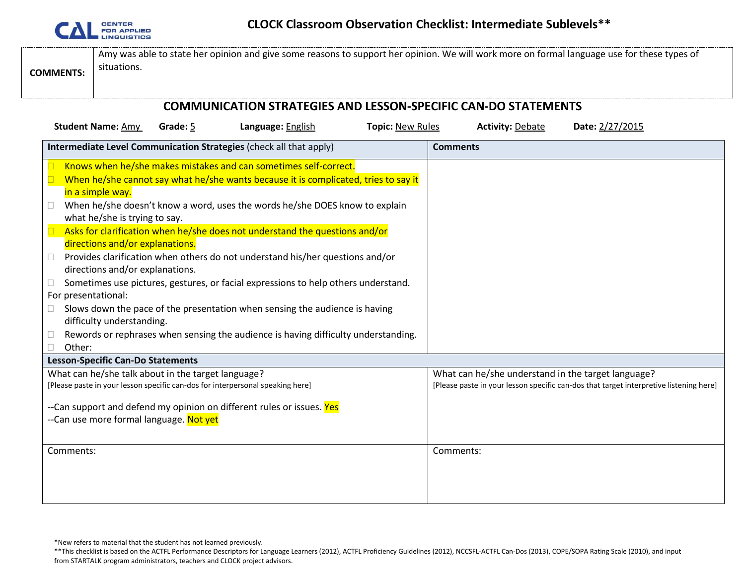

| <b>COMMENTS:</b>                                                | Amy was able to state her opinion and give some reasons to support her opinion. We will work more on formal language use for these types of<br>situations. |  |  |  |  |  |
|-----------------------------------------------------------------|------------------------------------------------------------------------------------------------------------------------------------------------------------|--|--|--|--|--|
| CONAMINICATION CTDATECIES AND LESSON SDESIELS CAN DO STATEMENTS |                                                                                                                                                            |  |  |  |  |  |

#### **COMMUNICATION STRATEGIES AND LESSON-SPECIFIC CAN-DO STATEMENTS Student Name:** Amy **Grade:** 5 **Language:** English **Topic:** New Rules **Activity:** Debate **Date:** 2/27/2015 **Intermediate Level Communication Strategies** (check all that apply) **Comments**  Knows when he/she makes mistakes and can sometimes self-correct.  $\Box$  When he/she cannot say what he/she wants because it is complicated, tries to say it in a simple way.  $\Box$  When he/she doesn't know a word, uses the words he/she DOES know to explain what he/she is trying to say.  $\Box$  Asks for clarification when he/she does not understand the questions and/or directions and/or explanations.  $\Box$  Provides clarification when others do not understand his/her questions and/or directions and/or explanations.  $\Box$  Sometimes use pictures, gestures, or facial expressions to help others understand. For presentational:  $\Box$  Slows down the pace of the presentation when sensing the audience is having difficulty understanding.  $\Box$  Rewords or rephrases when sensing the audience is having difficulty understanding. □ Other: **Lesson-Specific Can-Do Statements** What can he/she talk about in the target language? [Please paste in your lesson specific can-dos for interpersonal speaking here] --Can support and defend my opinion on different rules or issues. Yes --Can use more formal language. Not yet What can he/she understand in the target language? [Please paste in your lesson specific can-dos that target interpretive listening here] Comments: Comments:

\*New refers to material that the student has not learned previously.

<sup>\*\*</sup>This checklist is based on the ACTFL Performance Descriptors for Language Learners (2012), ACTFL Proficiency Guidelines (2012), NCCSFL-ACTFL Can-Dos (2013), COPE/SOPA Rating Scale (2010), and input from STARTALK program administrators, teachers and CLOCK project advisors.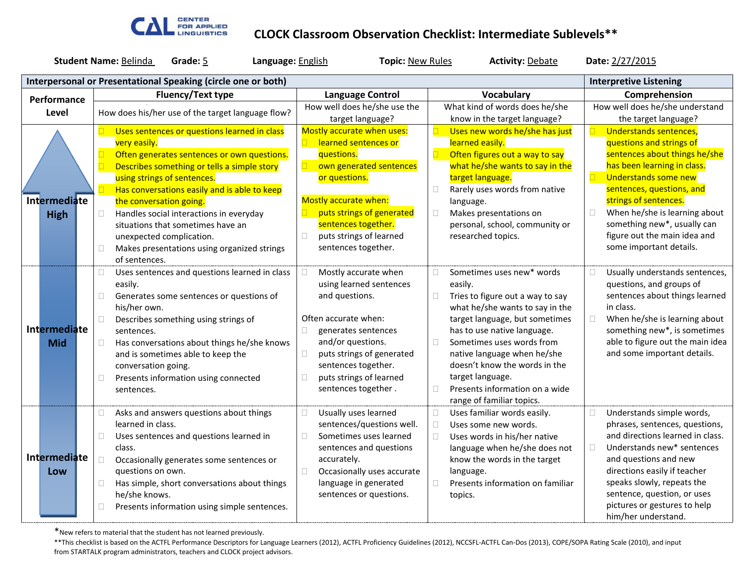

#### **CLOCK Classroom Observation Checklist: Intermediate Sublevels\*\***

| <b>Student Name: Belinda</b><br>Grade: 5<br>Language: English |                     |                          |                                                               | <b>Topic: New Rules</b> |                         | <b>Activity: Debate</b>                         |                   | Date: 2/27/2015                             |                               |                                                             |
|---------------------------------------------------------------|---------------------|--------------------------|---------------------------------------------------------------|-------------------------|-------------------------|-------------------------------------------------|-------------------|---------------------------------------------|-------------------------------|-------------------------------------------------------------|
|                                                               |                     |                          | Interpersonal or Presentational Speaking (circle one or both) |                         |                         |                                                 |                   |                                             | <b>Interpretive Listening</b> |                                                             |
|                                                               | Performance         | <b>Fluency/Text type</b> |                                                               |                         | <b>Language Control</b> |                                                 | <b>Vocabulary</b> |                                             |                               | Comprehension                                               |
|                                                               | Level               |                          |                                                               |                         |                         | How well does he/she use the                    |                   | What kind of words does he/she              |                               | How well does he/she understand                             |
|                                                               |                     |                          | How does his/her use of the target language flow?             |                         | target language?        |                                                 |                   | know in the target language?                |                               | the target language?                                        |
|                                                               |                     |                          | Uses sentences or questions learned in class                  |                         |                         | Mostly accurate when uses:                      |                   | Uses new words he/she has just              |                               | Understands sentences,                                      |
|                                                               |                     |                          | very easily.                                                  |                         |                         | learned sentences or                            |                   | learned easily.                             |                               | questions and strings of                                    |
|                                                               |                     | $\Box$                   | Often generates sentences or own questions.                   |                         |                         | questions.                                      |                   | Often figures out a way to say              |                               | sentences about things he/she                               |
|                                                               |                     | $\Box$                   | Describes something or tells a simple story                   |                         |                         | own generated sentences                         |                   | what he/she wants to say in the             |                               | has been learning in class.                                 |
|                                                               |                     |                          | using strings of sentences.                                   |                         |                         | or questions.                                   |                   | target language.                            | $\Box$                        | Understands some new                                        |
|                                                               |                     | $\Box$                   | Has conversations easily and is able to keep                  |                         |                         |                                                 | $\Box$            | Rarely uses words from native               |                               | sentences, questions, and                                   |
|                                                               | <b>Intermediate</b> |                          | the conversation going.                                       |                         |                         | Mostly accurate when:                           |                   | language.                                   |                               | strings of sentences.                                       |
|                                                               | <b>High</b>         | $\Box$                   | Handles social interactions in everyday                       |                         |                         | puts strings of generated                       | $\Box$            | Makes presentations on                      | $\Box$                        | When he/she is learning about                               |
|                                                               |                     |                          | situations that sometimes have an                             |                         |                         | sentences together.                             |                   | personal, school, community or              |                               | something new*, usually can<br>figure out the main idea and |
|                                                               |                     |                          | unexpected complication.                                      |                         | $\Box$                  | puts strings of learned<br>sentences together.  |                   | researched topics.                          |                               | some important details.                                     |
|                                                               |                     | $\Box$                   | Makes presentations using organized strings<br>of sentences.  |                         |                         |                                                 |                   |                                             |                               |                                                             |
|                                                               |                     |                          |                                                               |                         |                         |                                                 |                   |                                             |                               |                                                             |
|                                                               |                     | $\Box$                   | Uses sentences and questions learned in class<br>easily.      |                         |                         | Mostly accurate when<br>using learned sentences | □                 | Sometimes uses new* words                   | □                             | Usually understands sentences,<br>questions, and groups of  |
|                                                               |                     | $\Box$                   | Generates some sentences or questions of                      |                         |                         | and questions.                                  |                   | easily.<br>Tries to figure out a way to say |                               | sentences about things learned                              |
|                                                               |                     |                          | his/her own.                                                  |                         |                         |                                                 |                   | what he/she wants to say in the             |                               | in class.                                                   |
|                                                               |                     | $\Box$                   | Describes something using strings of                          |                         |                         | Often accurate when:                            |                   | target language, but sometimes              | n                             | When he/she is learning about                               |
|                                                               | <b>Intermediate</b> |                          | sentences.                                                    |                         |                         | generates sentences                             |                   | has to use native language.                 |                               | something new*, is sometimes                                |
|                                                               | <b>Mid</b>          | $\Box$                   | Has conversations about things he/she knows                   |                         |                         | and/or questions.                               | $\Box$            | Sometimes uses words from                   |                               | able to figure out the main idea                            |
|                                                               |                     |                          | and is sometimes able to keep the                             |                         | $\Box$                  | puts strings of generated                       |                   | native language when he/she                 |                               | and some important details.                                 |
|                                                               |                     |                          | conversation going.                                           |                         |                         | sentences together.                             |                   | doesn't know the words in the               |                               |                                                             |
|                                                               |                     | $\Box$                   | Presents information using connected                          |                         | П                       | puts strings of learned                         |                   | target language.                            |                               |                                                             |
|                                                               |                     |                          | sentences.                                                    |                         |                         | sentences together.                             | П                 | Presents information on a wide              |                               |                                                             |
|                                                               |                     |                          |                                                               |                         |                         |                                                 |                   | range of familiar topics.                   |                               |                                                             |
|                                                               |                     | $\Box$                   | Asks and answers questions about things                       |                         |                         | Usually uses learned                            | $\Box$            | Uses familiar words easily.                 | $\Box$                        | Understands simple words,                                   |
|                                                               |                     |                          | learned in class.                                             |                         |                         | sentences/questions well.                       | $\Box$            | Uses some new words.                        |                               | phrases, sentences, questions,                              |
|                                                               |                     | $\Box$                   | Uses sentences and questions learned in                       |                         |                         | Sometimes uses learned                          | $\Box$            | Uses words in his/her native                |                               | and directions learned in class.                            |
|                                                               |                     |                          | class.                                                        |                         |                         | sentences and questions                         |                   | language when he/she does not               | $\Box$                        | Understands new* sentences                                  |
|                                                               | <b>Intermediate</b> | $\Box$                   | Occasionally generates some sentences or                      |                         |                         | accurately.                                     |                   | know the words in the target                |                               | and questions and new                                       |
|                                                               | Low                 |                          | questions on own.                                             |                         | $\Box$                  | Occasionally uses accurate                      |                   | language.                                   |                               | directions easily if teacher                                |
|                                                               |                     | $\Box$                   | Has simple, short conversations about things                  |                         |                         | language in generated                           |                   | Presents information on familiar            |                               | speaks slowly, repeats the                                  |
|                                                               |                     |                          | he/she knows.                                                 |                         |                         | sentences or questions.                         |                   | topics.                                     |                               | sentence, question, or uses                                 |
|                                                               |                     | П                        | Presents information using simple sentences.                  |                         |                         |                                                 |                   |                                             |                               | pictures or gestures to help                                |
|                                                               |                     |                          |                                                               |                         |                         |                                                 |                   |                                             |                               | him/her understand.                                         |

\*New refers to material that the student has not learned previously.

\*\*This checklist is based on the ACTFL Performance Descriptors for Language Learners (2012), ACTFL Proficiency Guidelines (2012), NCCSFL-ACTFL Can-Dos (2013), COPE/SOPA Rating Scale (2010), and input from STARTALK program administrators, teachers and CLOCK project advisors.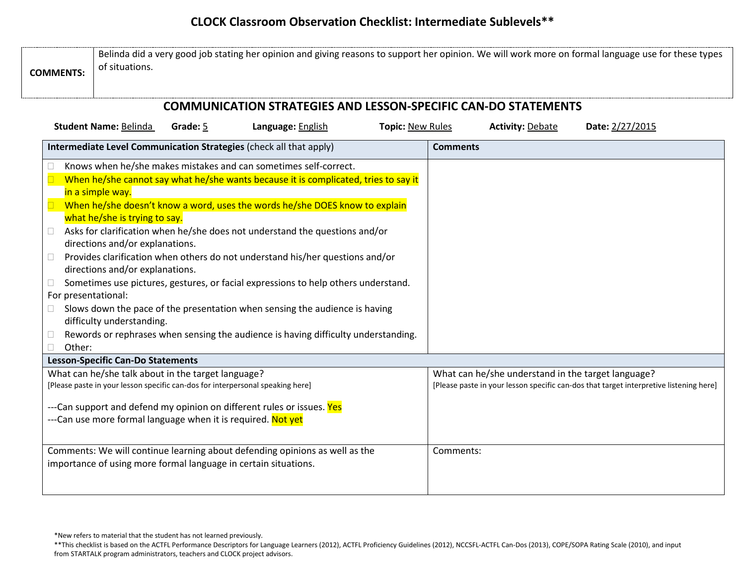## **CLOCK Classroom Observation Checklist: Intermediate Sublevels\*\***

| <b>COMMENTS:</b>                   | Belinda did a very good job stating her opinion and giving reasons to support her opinion. We will work more on formal language use for these types<br>of situations. |          |                                                                                                                                                                                                                                                                                                                                                                                                                                                                                                                                                                                                                                                                   |                         |           |                                                    |                                                                                        |  |  |  |  |
|------------------------------------|-----------------------------------------------------------------------------------------------------------------------------------------------------------------------|----------|-------------------------------------------------------------------------------------------------------------------------------------------------------------------------------------------------------------------------------------------------------------------------------------------------------------------------------------------------------------------------------------------------------------------------------------------------------------------------------------------------------------------------------------------------------------------------------------------------------------------------------------------------------------------|-------------------------|-----------|----------------------------------------------------|----------------------------------------------------------------------------------------|--|--|--|--|
|                                    |                                                                                                                                                                       |          | <b>COMMUNICATION STRATEGIES AND LESSON-SPECIFIC CAN-DO STATEMENTS</b>                                                                                                                                                                                                                                                                                                                                                                                                                                                                                                                                                                                             |                         |           |                                                    |                                                                                        |  |  |  |  |
|                                    | <b>Student Name: Belinda</b>                                                                                                                                          | Grade: 5 | Language: English                                                                                                                                                                                                                                                                                                                                                                                                                                                                                                                                                                                                                                                 | <b>Topic: New Rules</b> |           | <b>Activity: Debate</b>                            | Date: 2/27/2015                                                                        |  |  |  |  |
|                                    |                                                                                                                                                                       |          | Intermediate Level Communication Strategies (check all that apply)                                                                                                                                                                                                                                                                                                                                                                                                                                                                                                                                                                                                | <b>Comments</b>         |           |                                                    |                                                                                        |  |  |  |  |
| Ш<br>$\Box$<br>For presentational: | in a simple way.<br>what he/she is trying to say.<br>directions and/or explanations.<br>directions and/or explanations.<br>difficulty understanding.                  |          | Knows when he/she makes mistakes and can sometimes self-correct.<br>When he/she cannot say what he/she wants because it is complicated, tries to say it<br>When he/she doesn't know a word, uses the words he/she DOES know to explain<br>Asks for clarification when he/she does not understand the questions and/or<br>Provides clarification when others do not understand his/her questions and/or<br>Sometimes use pictures, gestures, or facial expressions to help others understand.<br>Slows down the pace of the presentation when sensing the audience is having<br>Rewords or rephrases when sensing the audience is having difficulty understanding. |                         |           |                                                    |                                                                                        |  |  |  |  |
| Other:                             | <b>Lesson-Specific Can-Do Statements</b>                                                                                                                              |          |                                                                                                                                                                                                                                                                                                                                                                                                                                                                                                                                                                                                                                                                   |                         |           |                                                    |                                                                                        |  |  |  |  |
|                                    | What can he/she talk about in the target language?                                                                                                                    |          | [Please paste in your lesson specific can-dos for interpersonal speaking here]<br>---Can support and defend my opinion on different rules or issues. Yes<br>---Can use more formal language when it is required. Not yet                                                                                                                                                                                                                                                                                                                                                                                                                                          |                         |           | What can he/she understand in the target language? | [Please paste in your lesson specific can-dos that target interpretive listening here] |  |  |  |  |
|                                    |                                                                                                                                                                       |          | Comments: We will continue learning about defending opinions as well as the<br>importance of using more formal language in certain situations.                                                                                                                                                                                                                                                                                                                                                                                                                                                                                                                    |                         | Comments: |                                                    |                                                                                        |  |  |  |  |

<sup>\*</sup>New refers to material that the student has not learned previously.

<sup>\*\*</sup>This checklist is based on the ACTFL Performance Descriptors for Language Learners (2012), ACTFL Proficiency Guidelines (2012), NCCSFL-ACTFL Can-Dos (2013), COPE/SOPA Rating Scale (2010), and input from STARTALK program administrators, teachers and CLOCK project advisors.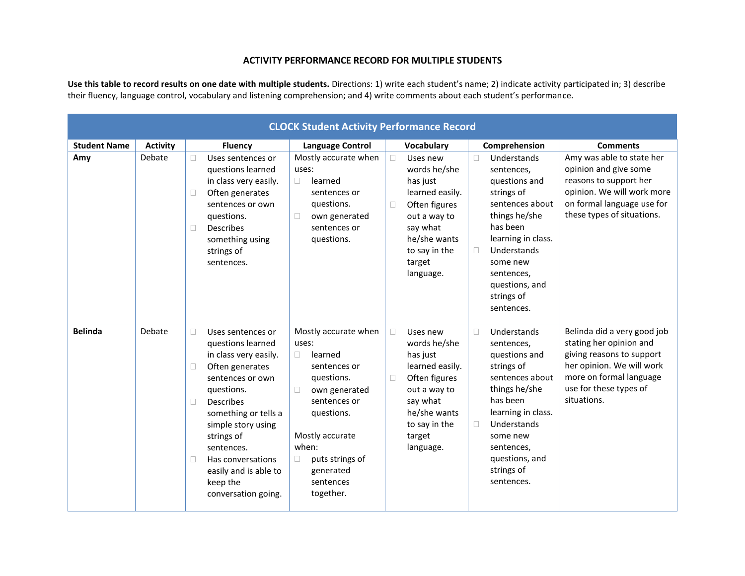#### **ACTIVITY PERFORMANCE RECORD FOR MULTIPLE STUDENTS**

**Use this table to record results on one date with multiple students.** Directions: 1) write each student's name; 2) indicate activity participated in; 3) describe their fluency, language control, vocabulary and listening comprehension; and 4) write comments about each student's performance.

|                     | <b>CLOCK Student Activity Performance Record</b> |                                                                                                                                                                                                                                                                                                                              |                                                                                                                                                                                                                                           |                                                                                                                                                                                  |                                                                                                                                                                                                                                           |                                                                                                                                                                                      |  |  |  |  |
|---------------------|--------------------------------------------------|------------------------------------------------------------------------------------------------------------------------------------------------------------------------------------------------------------------------------------------------------------------------------------------------------------------------------|-------------------------------------------------------------------------------------------------------------------------------------------------------------------------------------------------------------------------------------------|----------------------------------------------------------------------------------------------------------------------------------------------------------------------------------|-------------------------------------------------------------------------------------------------------------------------------------------------------------------------------------------------------------------------------------------|--------------------------------------------------------------------------------------------------------------------------------------------------------------------------------------|--|--|--|--|
| <b>Student Name</b> | <b>Activity</b>                                  | <b>Fluency</b>                                                                                                                                                                                                                                                                                                               | <b>Language Control</b>                                                                                                                                                                                                                   | Vocabulary                                                                                                                                                                       | Comprehension                                                                                                                                                                                                                             | <b>Comments</b>                                                                                                                                                                      |  |  |  |  |
| Amy                 | Debate                                           | Uses sentences or<br>$\Box$<br>questions learned<br>in class very easily.<br>Often generates<br>П<br>sentences or own<br>questions.<br><b>Describes</b><br>П<br>something using<br>strings of<br>sentences.                                                                                                                  | Mostly accurate when<br>uses:<br>learned<br>$\Box$<br>sentences or<br>questions.<br>own generated<br>$\Box$<br>sentences or<br>questions.                                                                                                 | Uses new<br>$\Box$<br>words he/she<br>has just<br>learned easily.<br>Often figures<br>$\Box$<br>out a way to<br>say what<br>he/she wants<br>to say in the<br>target<br>language. | Understands<br>$\Box$<br>sentences,<br>questions and<br>strings of<br>sentences about<br>things he/she<br>has been<br>learning in class.<br>Understands<br>П<br>some new<br>sentences,<br>questions, and<br>strings of<br>sentences.      | Amy was able to state her<br>opinion and give some<br>reasons to support her<br>opinion. We will work more<br>on formal language use for<br>these types of situations.               |  |  |  |  |
| <b>Belinda</b>      | Debate                                           | $\Box$<br>Uses sentences or<br>questions learned<br>in class very easily.<br>Often generates<br>П<br>sentences or own<br>questions.<br><b>Describes</b><br>П<br>something or tells a<br>simple story using<br>strings of<br>sentences.<br>П<br>Has conversations<br>easily and is able to<br>keep the<br>conversation going. | Mostly accurate when<br>uses:<br>learned<br>$\Box$<br>sentences or<br>questions.<br>own generated<br>$\Box$<br>sentences or<br>questions.<br>Mostly accurate<br>when:<br>puts strings of<br>$\Box$<br>generated<br>sentences<br>together. | $\Box$<br>Uses new<br>words he/she<br>has just<br>learned easily.<br>Often figures<br>$\Box$<br>out a way to<br>say what<br>he/she wants<br>to say in the<br>target<br>language. | Understands<br>$\Box$<br>sentences,<br>questions and<br>strings of<br>sentences about<br>things he/she<br>has been<br>learning in class.<br>Understands<br>$\Box$<br>some new<br>sentences,<br>questions, and<br>strings of<br>sentences. | Belinda did a very good job<br>stating her opinion and<br>giving reasons to support<br>her opinion. We will work<br>more on formal language<br>use for these types of<br>situations. |  |  |  |  |